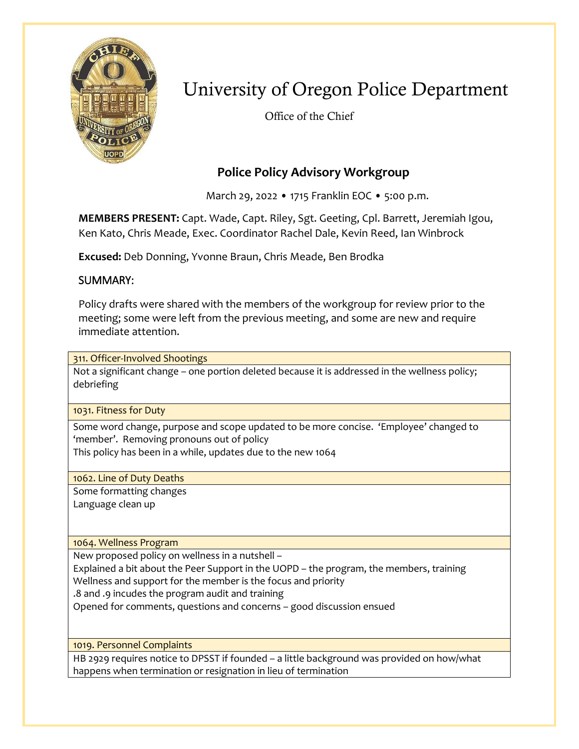

# University of Oregon Police Department

Office of the Chief

# **Police Policy Advisory Workgroup**

March 29, 2022 • 1715 Franklin EOC • 5:00 p.m.

**MEMBERS PRESENT:** Capt. Wade, Capt. Riley, Sgt. Geeting, Cpl. Barrett, Jeremiah Igou, Ken Kato, Chris Meade, Exec. Coordinator Rachel Dale, Kevin Reed, Ian Winbrock

**Excused:** Deb Donning, Yvonne Braun, Chris Meade, Ben Brodka

# SUMMARY:

Policy drafts were shared with the members of the workgroup for review prior to the meeting; some were left from the previous meeting, and some are new and require immediate attention.

311. Officer-Involved Shootings

Not a significant change – one portion deleted because it is addressed in the wellness policy; debriefing

1031. Fitness for Duty

Some word change, purpose and scope updated to be more concise. 'Employee' changed to 'member'. Removing pronouns out of policy This policy has been in a while, updates due to the new 1064

1062. Line of Duty Deaths

Some formatting changes Language clean up

1064. Wellness Program

New proposed policy on wellness in a nutshell –

Explained a bit about the Peer Support in the UOPD – the program, the members, training Wellness and support for the member is the focus and priority

.8 and .9 incudes the program audit and training

Opened for comments, questions and concerns – good discussion ensued

1019. Personnel Complaints

HB 2929 requires notice to DPSST if founded – a little background was provided on how/what happens when termination or resignation in lieu of termination